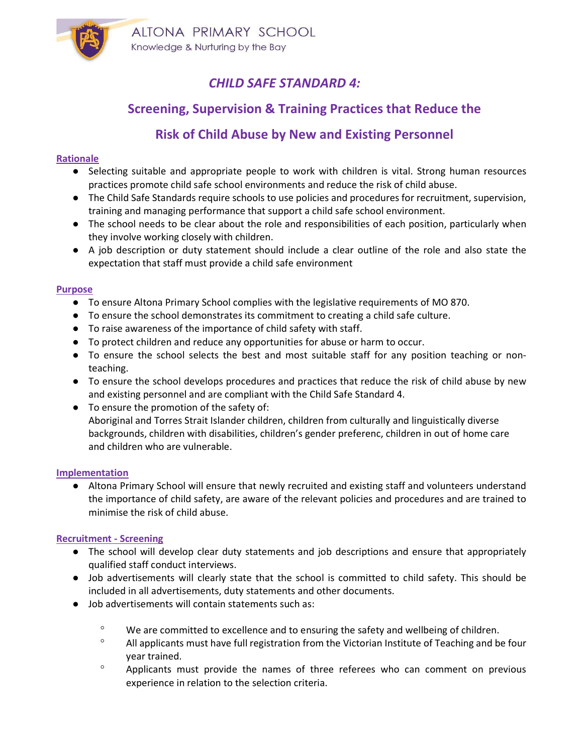

## CHILD SAFE STANDARD 4:

# Screening, Supervision & Training Practices that Reduce the

## Risk of Child Abuse by New and Existing Personnel

### Rationale

- Selecting suitable and appropriate people to work with children is vital. Strong human resources practices promote child safe school environments and reduce the risk of child abuse.
- The Child Safe Standards require schools to use policies and procedures for recruitment, supervision, training and managing performance that support a child safe school environment.
- The school needs to be clear about the role and responsibilities of each position, particularly when they involve working closely with children.
- A job description or duty statement should include a clear outline of the role and also state the expectation that staff must provide a child safe environment

#### Purpose

- To ensure Altona Primary School complies with the legislative requirements of MO 870.
- To ensure the school demonstrates its commitment to creating a child safe culture.
- To raise awareness of the importance of child safety with staff.
- To protect children and reduce any opportunities for abuse or harm to occur.
- To ensure the school selects the best and most suitable staff for any position teaching or nonteaching.
- To ensure the school develops procedures and practices that reduce the risk of child abuse by new and existing personnel and are compliant with the Child Safe Standard 4.
- To ensure the promotion of the safety of: Aboriginal and Torres Strait Islander children, children from culturally and linguistically diverse backgrounds, children with disabilities, children's gender preferenc, children in out of home care and children who are vulnerable.

#### **Implementation**

● Altona Primary School will ensure that newly recruited and existing staff and volunteers understand the importance of child safety, are aware of the relevant policies and procedures and are trained to minimise the risk of child abuse.

## Recruitment - Screening

- The school will develop clear duty statements and job descriptions and ensure that appropriately qualified staff conduct interviews.
- Job advertisements will clearly state that the school is committed to child safety. This should be included in all advertisements, duty statements and other documents.
- Job advertisements will contain statements such as:
	- ° We are committed to excellence and to ensuring the safety and wellbeing of children.
	- ° All applicants must have full registration from the Victorian Institute of Teaching and be four year trained.
	- ° Applicants must provide the names of three referees who can comment on previous experience in relation to the selection criteria.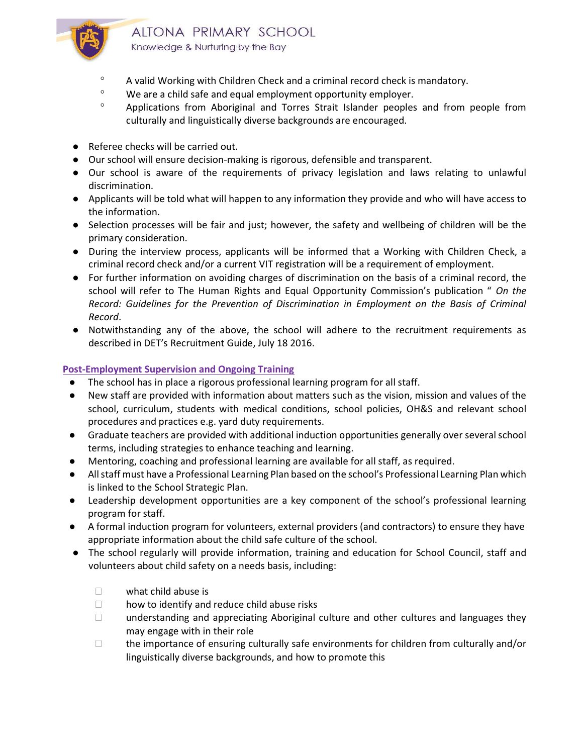

- ° A valid Working with Children Check and a criminal record check is mandatory.
- ° We are a child safe and equal employment opportunity employer.
- ° Applications from Aboriginal and Torres Strait Islander peoples and from people from culturally and linguistically diverse backgrounds are encouraged.
- Referee checks will be carried out.
- Our school will ensure decision-making is rigorous, defensible and transparent.
- Our school is aware of the requirements of privacy legislation and laws relating to unlawful discrimination.
- Applicants will be told what will happen to any information they provide and who will have access to the information.
- Selection processes will be fair and just; however, the safety and wellbeing of children will be the primary consideration.
- During the interview process, applicants will be informed that a Working with Children Check, a criminal record check and/or a current VIT registration will be a requirement of employment.
- For further information on avoiding charges of discrimination on the basis of a criminal record, the school will refer to The Human Rights and Equal Opportunity Commission's publication " On the Record: Guidelines for the Prevention of Discrimination in Employment on the Basis of Criminal Record.
- Notwithstanding any of the above, the school will adhere to the recruitment requirements as described in DET's Recruitment Guide, July 18 2016.

## Post-Employment Supervision and Ongoing Training

- The school has in place a rigorous professional learning program for all staff.
- New staff are provided with information about matters such as the vision, mission and values of the school, curriculum, students with medical conditions, school policies, OH&S and relevant school procedures and practices e.g. yard duty requirements.
- Graduate teachers are provided with additional induction opportunities generally over several school terms, including strategies to enhance teaching and learning.
- Mentoring, coaching and professional learning are available for all staff, as required.
- All staff must have a Professional Learning Plan based on the school's Professional Learning Plan which is linked to the School Strategic Plan.
- Leadership development opportunities are a key component of the school's professional learning program for staff.
- A formal induction program for volunteers, external providers (and contractors) to ensure they have appropriate information about the child safe culture of the school.
- The school regularly will provide information, training and education for School Council, staff and volunteers about child safety on a needs basis, including:
	- $\Box$  what child abuse is
	- $\Box$  how to identify and reduce child abuse risks
	- $\Box$  understanding and appreciating Aboriginal culture and other cultures and languages they may engage with in their role
	- $\Box$  the importance of ensuring culturally safe environments for children from culturally and/or linguistically diverse backgrounds, and how to promote this